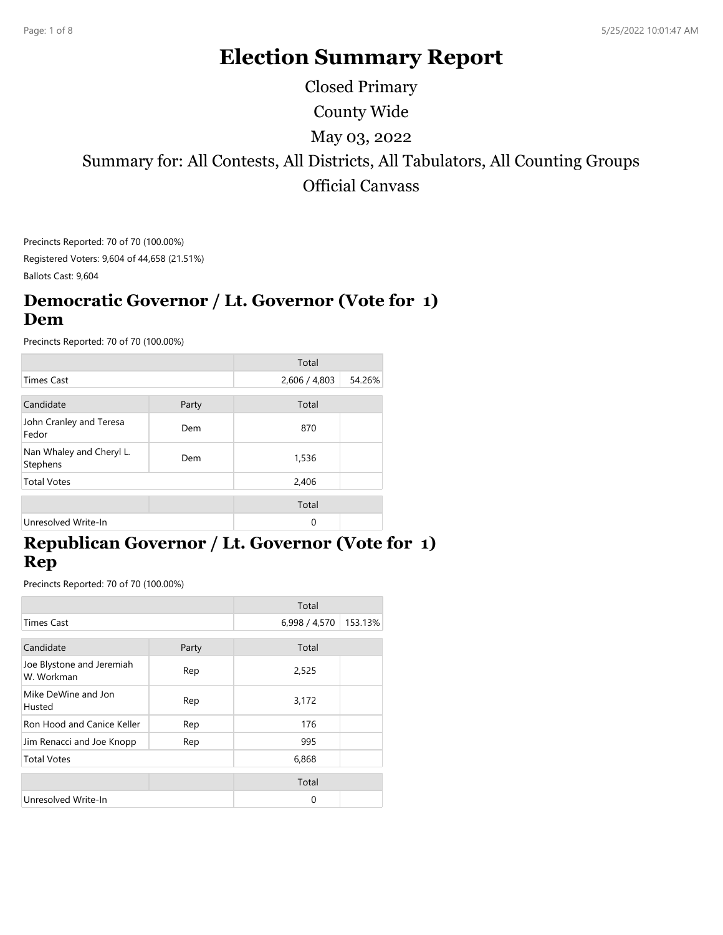# **Election Summary Report**

County Wide Summary for: All Contests, All Districts, All Tabulators, All Counting Groups Official Canvass May 03, 2022 Closed Primary

Precincts Reported: 70 of 70 (100.00%) Registered Voters: 9,604 of 44,658 (21.51%)

Ballots Cast: 9,604

#### **Democratic Governor / Lt. Governor (Vote for 1) Dem**

Precincts Reported: 70 of 70 (100.00%)

|                                      |       | Total         |        |
|--------------------------------------|-------|---------------|--------|
| <b>Times Cast</b>                    |       | 2,606 / 4,803 | 54.26% |
| Candidate                            | Party | Total         |        |
| John Cranley and Teresa<br>Fedor     | Dem   | 870           |        |
| Nan Whaley and Cheryl L.<br>Stephens | Dem   | 1,536         |        |
| <b>Total Votes</b>                   |       | 2,406         |        |
|                                      |       | Total         |        |
| Unresolved Write-In                  |       | 0             |        |

## **Republican Governor / Lt. Governor (Vote for 1) Rep**

|                                         |       | Total         |         |
|-----------------------------------------|-------|---------------|---------|
| <b>Times Cast</b>                       |       | 6,998 / 4,570 | 153.13% |
| Candidate                               |       | Total         |         |
|                                         | Party |               |         |
| Joe Blystone and Jeremiah<br>W. Workman | Rep   | 2,525         |         |
| Mike DeWine and Jon<br>Husted           | Rep   | 3,172         |         |
| Ron Hood and Canice Keller              | Rep   | 176           |         |
| Jim Renacci and Joe Knopp               | Rep   | 995           |         |
| <b>Total Votes</b>                      |       | 6,868         |         |
|                                         |       | Total         |         |
| Unresolved Write-In                     |       | 0             |         |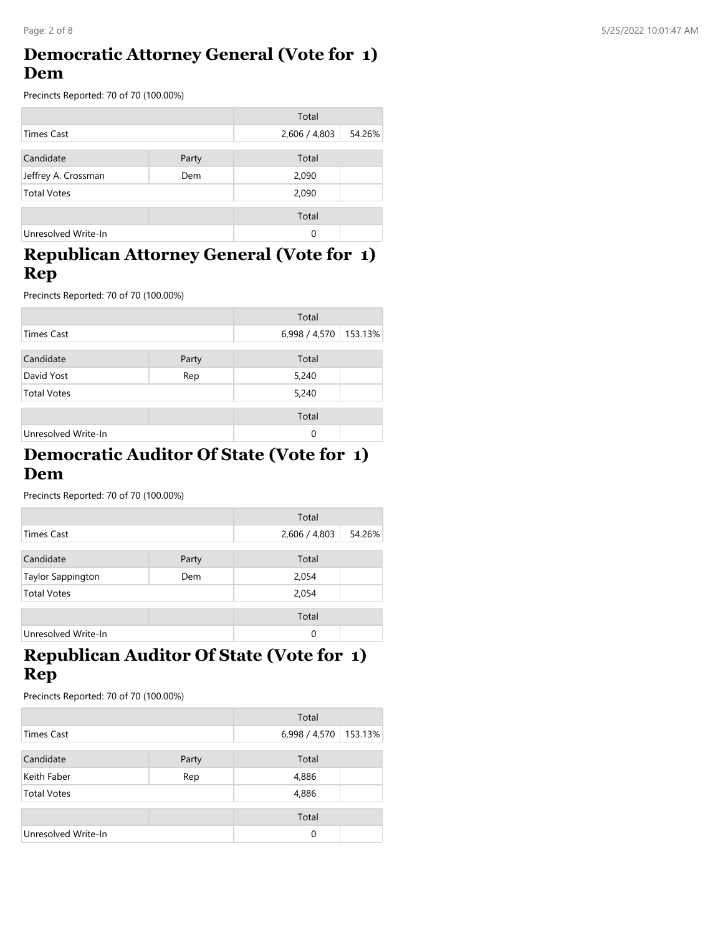## **Democratic Attorney General (Vote for 1) Dem**

Precincts Reported: 70 of 70 (100.00%)

|                     |       | Total         |        |
|---------------------|-------|---------------|--------|
| Times Cast          |       | 2,606 / 4,803 | 54.26% |
|                     |       |               |        |
| Candidate           | Party | Total         |        |
| Jeffrey A. Crossman | Dem   | 2,090         |        |
| <b>Total Votes</b>  |       | 2,090         |        |
|                     |       | Total         |        |
| Unresolved Write-In |       | 0             |        |

## **Republican Attorney General (Vote for 1) Rep**

Precincts Reported: 70 of 70 (100.00%)

|                     |       | Total         |         |
|---------------------|-------|---------------|---------|
| <b>Times Cast</b>   |       | 6,998 / 4,570 | 153.13% |
| Candidate           | Party | Total         |         |
| David Yost          | Rep   | 5,240         |         |
| <b>Total Votes</b>  |       | 5,240         |         |
|                     |       | Total         |         |
| Unresolved Write-In |       | 0             |         |

#### **Democratic Auditor Of State (Vote for 1) Dem**

Precincts Reported: 70 of 70 (100.00%)

|                     |       | Total         |        |
|---------------------|-------|---------------|--------|
| <b>Times Cast</b>   |       | 2,606 / 4,803 | 54.26% |
| Candidate           | Party | Total         |        |
| Taylor Sappington   | Dem   | 2,054         |        |
| <b>Total Votes</b>  |       | 2,054         |        |
|                     |       | Total         |        |
| Unresolved Write-In |       | 0             |        |

## **Republican Auditor Of State (Vote for 1) Rep**

|                     |       | Total         |         |
|---------------------|-------|---------------|---------|
| <b>Times Cast</b>   |       | 6,998 / 4,570 | 153.13% |
|                     |       |               |         |
| Candidate           | Party | Total         |         |
| Keith Faber         | Rep   | 4,886         |         |
| <b>Total Votes</b>  |       | 4,886         |         |
|                     |       | Total         |         |
| Unresolved Write-In |       | 0             |         |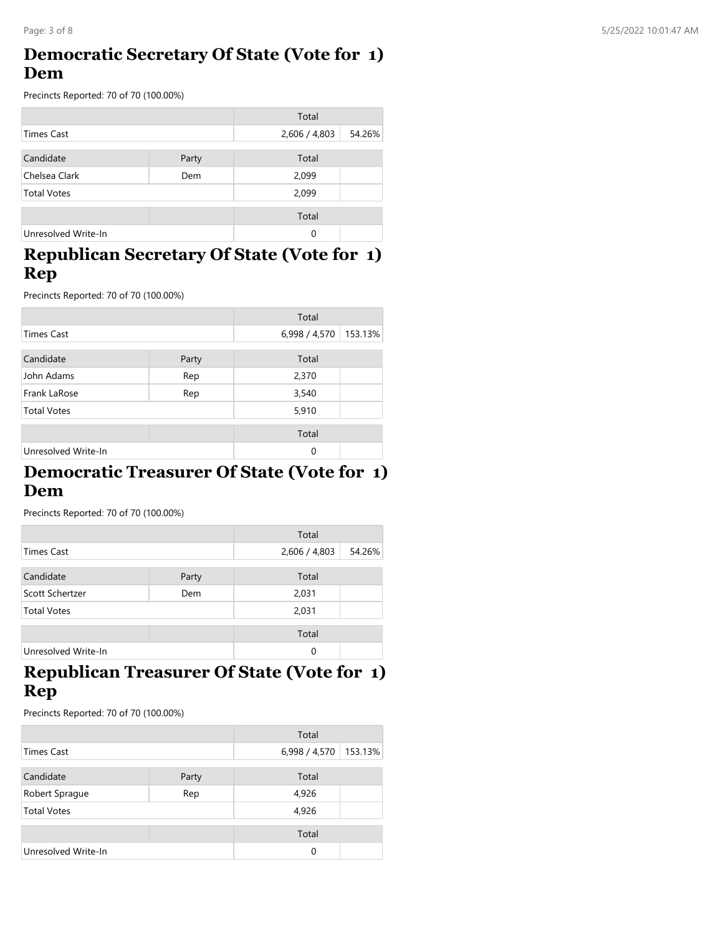#### **Democratic Secretary Of State (Vote for 1) Dem**

Precincts Reported: 70 of 70 (100.00%)

|                     |       | Total         |        |
|---------------------|-------|---------------|--------|
| Times Cast          |       | 2,606 / 4,803 | 54.26% |
|                     |       |               |        |
| Candidate           | Party | Total         |        |
| Chelsea Clark       | Dem   | 2,099         |        |
| <b>Total Votes</b>  |       | 2,099         |        |
|                     |       | Total         |        |
| Unresolved Write-In |       | 0             |        |

#### **Republican Secretary Of State (Vote for 1) Rep**

Precincts Reported: 70 of 70 (100.00%)

|                     |       | Total         |         |
|---------------------|-------|---------------|---------|
| <b>Times Cast</b>   |       | 6,998 / 4,570 | 153.13% |
| Candidate           | Party | Total         |         |
| John Adams          | Rep   | 2,370         |         |
| Frank LaRose        | Rep   | 3,540         |         |
| <b>Total Votes</b>  |       | 5,910         |         |
|                     |       | Total         |         |
| Unresolved Write-In |       | $\Omega$      |         |

#### **Democratic Treasurer Of State (Vote for 1) Dem**

Precincts Reported: 70 of 70 (100.00%)

|                     |       | Total         |        |
|---------------------|-------|---------------|--------|
| <b>Times Cast</b>   |       | 2,606 / 4,803 | 54.26% |
| Candidate           | Party | Total         |        |
| Scott Schertzer     | Dem   | 2,031         |        |
| <b>Total Votes</b>  |       | 2,031         |        |
|                     |       | Total         |        |
| Unresolved Write-In |       | $\Omega$      |        |

## **Republican Treasurer Of State (Vote for 1) Rep**

|                     |       | Total         |         |
|---------------------|-------|---------------|---------|
| <b>Times Cast</b>   |       | 6,998 / 4,570 | 153.13% |
| Candidate           | Party | Total         |         |
| Robert Sprague      | Rep   | 4,926         |         |
| <b>Total Votes</b>  |       | 4,926         |         |
|                     |       | Total         |         |
| Unresolved Write-In |       | 0             |         |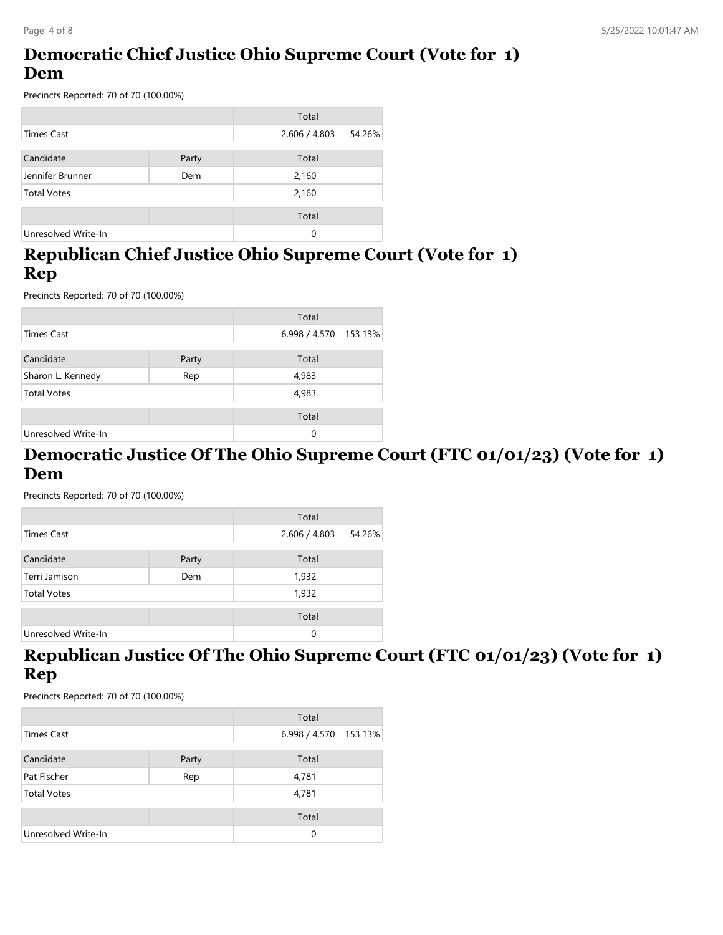## **Democratic Chief Justice Ohio Supreme Court (Vote for 1) Dem**

Precincts Reported: 70 of 70 (100.00%)

|                     |       | Total         |        |
|---------------------|-------|---------------|--------|
| Times Cast          |       | 2,606 / 4,803 | 54.26% |
|                     |       |               |        |
| Candidate           | Party | Total         |        |
| Jennifer Brunner    | Dem   | 2,160         |        |
| <b>Total Votes</b>  |       | 2,160         |        |
|                     |       |               |        |
|                     |       | Total         |        |
| Unresolved Write-In |       | 0             |        |

## **Republican Chief Justice Ohio Supreme Court (Vote for 1) Rep**

Precincts Reported: 70 of 70 (100.00%)

|                     |       | Total         |         |
|---------------------|-------|---------------|---------|
| <b>Times Cast</b>   |       | 6,998 / 4,570 | 153.13% |
| Candidate           | Party | Total         |         |
| Sharon L. Kennedy   | Rep   | 4,983         |         |
| <b>Total Votes</b>  |       | 4,983         |         |
|                     |       | Total         |         |
| Unresolved Write-In |       | 0             |         |

#### **Democratic Justice Of The Ohio Supreme Court (FTC 01/01/23) (Vote for 1) Dem**

Precincts Reported: 70 of 70 (100.00%)

|                     |       | Total         |        |
|---------------------|-------|---------------|--------|
| Times Cast          |       | 2,606 / 4,803 | 54.26% |
| Candidate           | Party | Total         |        |
| Terri Jamison       | Dem   | 1,932         |        |
| <b>Total Votes</b>  |       | 1,932         |        |
|                     |       | Total         |        |
| Unresolved Write-In |       | 0             |        |

#### **Republican Justice Of The Ohio Supreme Court (FTC 01/01/23) (Vote for 1) Rep**

|                     |       | Total         |         |
|---------------------|-------|---------------|---------|
| <b>Times Cast</b>   |       | 6,998 / 4,570 | 153.13% |
| Candidate           | Party | Total         |         |
| Pat Fischer         | Rep   | 4,781         |         |
| <b>Total Votes</b>  |       | 4,781         |         |
|                     |       | Total         |         |
| Unresolved Write-In |       | $\Omega$      |         |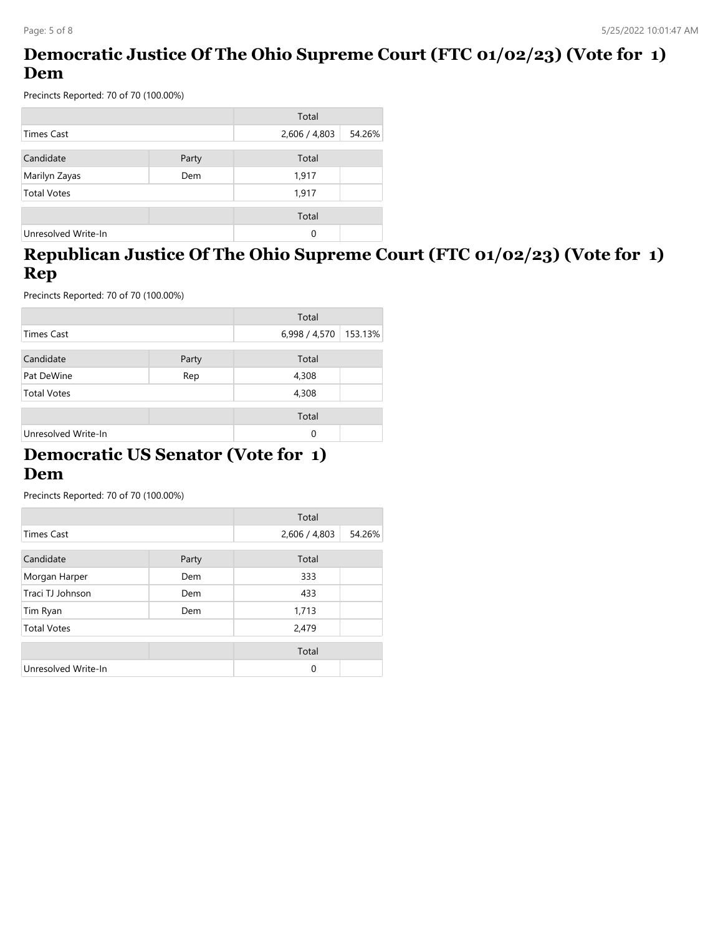## **Democratic Justice Of The Ohio Supreme Court (FTC 01/02/23) (Vote for 1) Dem**

Precincts Reported: 70 of 70 (100.00%)

|                     |       | Total         |        |
|---------------------|-------|---------------|--------|
| <b>Times Cast</b>   |       | 2,606 / 4,803 | 54.26% |
| Candidate           | Party | Total         |        |
| Marilyn Zayas       | Dem   | 1,917         |        |
| <b>Total Votes</b>  |       | 1,917         |        |
|                     |       | Total         |        |
| Unresolved Write-In |       | 0             |        |

# **Republican Justice Of The Ohio Supreme Court (FTC 01/02/23) (Vote for 1) Rep**

Precincts Reported: 70 of 70 (100.00%)

|                     |       | Total         |         |
|---------------------|-------|---------------|---------|
| <b>Times Cast</b>   |       | 6,998 / 4,570 | 153.13% |
| Candidate           | Party | Total         |         |
| Pat DeWine          | Rep   | 4,308         |         |
| <b>Total Votes</b>  |       | 4,308         |         |
|                     |       | Total         |         |
| Unresolved Write-In |       | 0             |         |

#### **Democratic US Senator (Vote for 1) Dem**

|                     |       | Total         |        |
|---------------------|-------|---------------|--------|
| <b>Times Cast</b>   |       | 2,606 / 4,803 | 54.26% |
| Candidate           | Party | Total         |        |
| Morgan Harper       | Dem   | 333           |        |
| Traci TJ Johnson    | Dem   | 433           |        |
| Tim Ryan            | Dem   | 1,713         |        |
| <b>Total Votes</b>  |       | 2,479         |        |
|                     |       | Total         |        |
| Unresolved Write-In |       | 0             |        |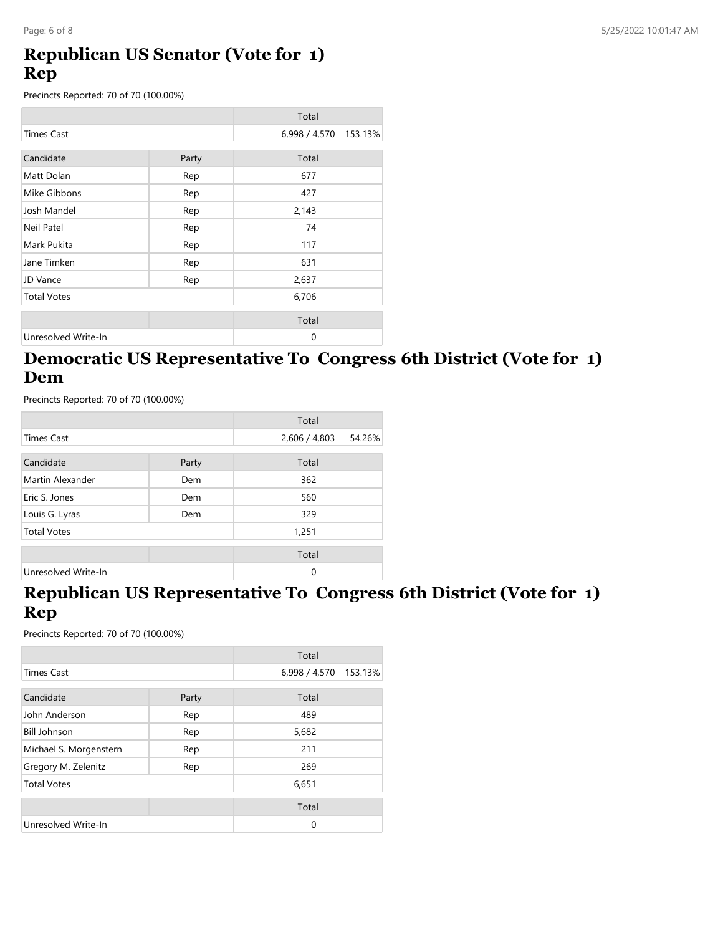#### **Republican US Senator (Vote for 1) Rep**

Precincts Reported: 70 of 70 (100.00%)

|                     |       | Total         |         |
|---------------------|-------|---------------|---------|
| <b>Times Cast</b>   |       | 6,998 / 4,570 | 153.13% |
| Candidate           | Party | Total         |         |
|                     |       |               |         |
| Matt Dolan          | Rep   | 677           |         |
| Mike Gibbons        | Rep   | 427           |         |
| Josh Mandel         | Rep   | 2,143         |         |
| Neil Patel          | Rep   | 74            |         |
| Mark Pukita         | Rep   | 117           |         |
| Jane Timken         | Rep   | 631           |         |
| JD Vance            | Rep   | 2,637         |         |
| <b>Total Votes</b>  |       | 6,706         |         |
|                     |       | Total         |         |
| Unresolved Write-In |       | $\mathbf 0$   |         |

## **Democratic US Representative To Congress 6th District (Vote for 1) Dem**

Precincts Reported: 70 of 70 (100.00%)

|                     |       | Total         |        |
|---------------------|-------|---------------|--------|
| <b>Times Cast</b>   |       | 2,606 / 4,803 | 54.26% |
| Candidate           | Party | Total         |        |
| Martin Alexander    | Dem   | 362           |        |
| Eric S. Jones       | Dem   | 560           |        |
| Louis G. Lyras      | Dem   | 329           |        |
| <b>Total Votes</b>  |       | 1,251         |        |
|                     |       | Total         |        |
| Unresolved Write-In |       | $\Omega$      |        |

## **Republican US Representative To Congress 6th District (Vote for 1) Rep**

|                        |       | Total         |         |
|------------------------|-------|---------------|---------|
| <b>Times Cast</b>      |       | 6,998 / 4,570 | 153.13% |
| Candidate              | Party | Total         |         |
| John Anderson          | Rep   | 489           |         |
| <b>Bill Johnson</b>    | Rep   | 5,682         |         |
| Michael S. Morgenstern | Rep   | 211           |         |
| Gregory M. Zelenitz    | Rep   | 269           |         |
| <b>Total Votes</b>     |       | 6,651         |         |
|                        |       | Total         |         |
| Unresolved Write-In    |       | $\Omega$      |         |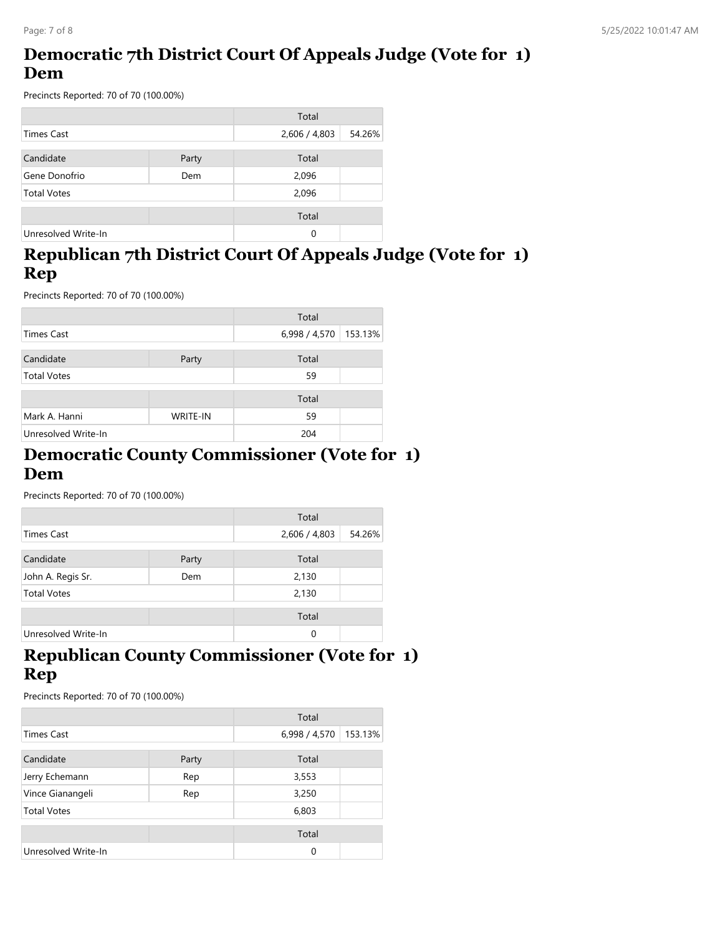# **Democratic 7th District Court Of Appeals Judge (Vote for 1) Dem**

Precincts Reported: 70 of 70 (100.00%)

|                     |       | Total         |        |
|---------------------|-------|---------------|--------|
| <b>Times Cast</b>   |       | 2,606 / 4,803 | 54.26% |
|                     |       |               |        |
| Candidate           | Party | Total         |        |
| Gene Donofrio       | Dem   | 2,096         |        |
| <b>Total Votes</b>  |       | 2,096         |        |
|                     |       | Total         |        |
| Unresolved Write-In |       | 0             |        |

# **Republican 7th District Court Of Appeals Judge (Vote for 1) Rep**

Precincts Reported: 70 of 70 (100.00%)

|                     |                 | Total         |         |
|---------------------|-----------------|---------------|---------|
| <b>Times Cast</b>   |                 | 6,998 / 4,570 | 153.13% |
| Candidate           | Party           | Total         |         |
| <b>Total Votes</b>  |                 | 59            |         |
|                     |                 | Total         |         |
| Mark A. Hanni       | <b>WRITE-IN</b> | 59            |         |
| Unresolved Write-In |                 | 204           |         |

#### **Democratic County Commissioner (Vote for 1) Dem**

Precincts Reported: 70 of 70 (100.00%)

|                     |       | Total         |        |
|---------------------|-------|---------------|--------|
| <b>Times Cast</b>   |       | 2,606 / 4,803 | 54.26% |
| Candidate           | Party | Total         |        |
| John A. Regis Sr.   | Dem   | 2,130         |        |
| <b>Total Votes</b>  |       | 2,130         |        |
|                     |       | Total         |        |
| Unresolved Write-In |       | 0             |        |

## **Republican County Commissioner (Vote for 1) Rep**

|                         |       | Total         |         |
|-------------------------|-------|---------------|---------|
| <b>Times Cast</b>       |       | 6,998 / 4,570 | 153.13% |
| Candidate               | Party | Total         |         |
| Jerry Echemann          | Rep   | 3,553         |         |
| Vince Gianangeli<br>Rep |       | 3,250         |         |
| <b>Total Votes</b>      |       | 6,803         |         |
|                         |       | Total         |         |
| Unresolved Write-In     |       | $\Omega$      |         |